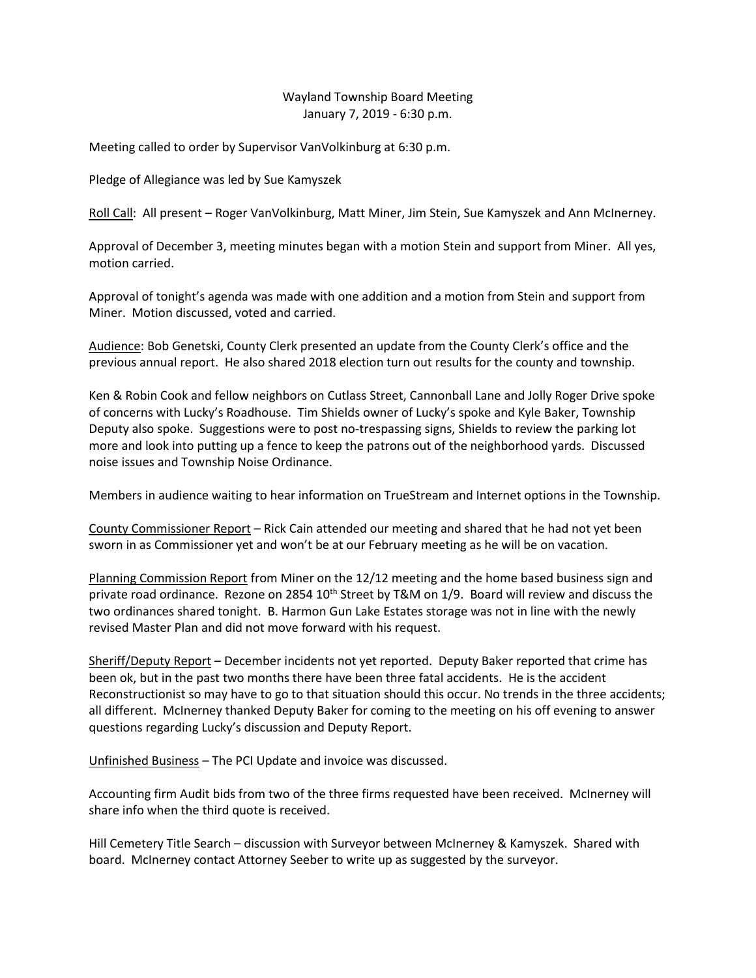## Wayland Township Board Meeting January 7, 2019 - 6:30 p.m.

Meeting called to order by Supervisor VanVolkinburg at 6:30 p.m.

Pledge of Allegiance was led by Sue Kamyszek

Roll Call: All present – Roger VanVolkinburg, Matt Miner, Jim Stein, Sue Kamyszek and Ann McInerney.

Approval of December 3, meeting minutes began with a motion Stein and support from Miner. All yes, motion carried.

Approval of tonight's agenda was made with one addition and a motion from Stein and support from Miner. Motion discussed, voted and carried.

Audience: Bob Genetski, County Clerk presented an update from the County Clerk's office and the previous annual report. He also shared 2018 election turn out results for the county and township.

Ken & Robin Cook and fellow neighbors on Cutlass Street, Cannonball Lane and Jolly Roger Drive spoke of concerns with Lucky's Roadhouse. Tim Shields owner of Lucky's spoke and Kyle Baker, Township Deputy also spoke. Suggestions were to post no-trespassing signs, Shields to review the parking lot more and look into putting up a fence to keep the patrons out of the neighborhood yards. Discussed noise issues and Township Noise Ordinance.

Members in audience waiting to hear information on TrueStream and Internet options in the Township.

County Commissioner Report – Rick Cain attended our meeting and shared that he had not yet been sworn in as Commissioner yet and won't be at our February meeting as he will be on vacation.

Planning Commission Report from Miner on the 12/12 meeting and the home based business sign and private road ordinance. Rezone on 2854  $10^{th}$  Street by T&M on 1/9. Board will review and discuss the two ordinances shared tonight. B. Harmon Gun Lake Estates storage was not in line with the newly revised Master Plan and did not move forward with his request.

Sheriff/Deputy Report – December incidents not yet reported. Deputy Baker reported that crime has been ok, but in the past two months there have been three fatal accidents. He is the accident Reconstructionist so may have to go to that situation should this occur. No trends in the three accidents; all different. McInerney thanked Deputy Baker for coming to the meeting on his off evening to answer questions regarding Lucky's discussion and Deputy Report.

Unfinished Business – The PCI Update and invoice was discussed.

Accounting firm Audit bids from two of the three firms requested have been received. McInerney will share info when the third quote is received.

Hill Cemetery Title Search – discussion with Surveyor between McInerney & Kamyszek. Shared with board. McInerney contact Attorney Seeber to write up as suggested by the surveyor.